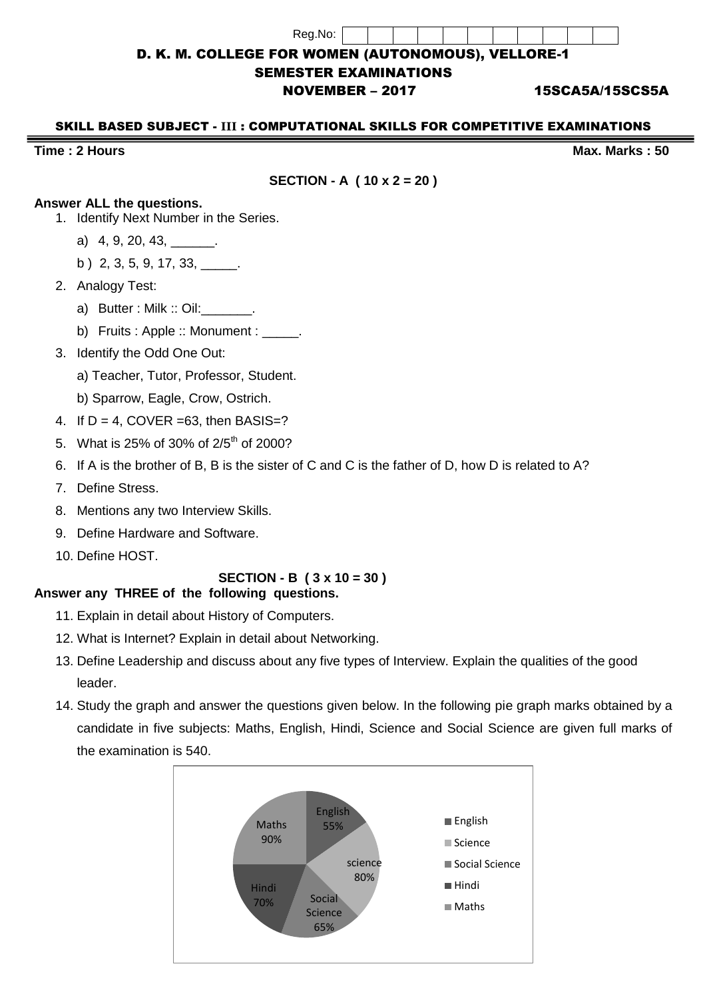| Reg.No: |  |  |  |  |  |  |
|---------|--|--|--|--|--|--|

## D. K. M. COLLEGE FOR WOMEN (AUTONOMOUS), VELLORE-1

#### SEMESTER EXAMINATIONS

### NOVEMBER – 2017 15SCA5A/15SCS5A

#### SKILL BASED SUBJECT - **III** : COMPUTATIONAL SKILLS FOR COMPETITIVE EXAMINATIONS

#### **Time : 2 Hours Max. Marks : 50**

**SECTION - A ( 10 x 2 = 20 )**

## **Answer ALL the questions.**

- 1. Identify Next Number in the Series.
	- a) 4, 9, 20, 43, \_\_\_\_\_\_\_.
	- b ) 2, 3, 5, 9, 17, 33, \_\_\_\_\_.
- 2. Analogy Test:
	- a) Butter : Milk :: Oil: \_\_\_\_\_\_.
	- b) Fruits : Apple :: Monument :
- 3. Identify the Odd One Out:
	- a) Teacher, Tutor, Professor, Student.
	- b) Sparrow, Eagle, Crow, Ostrich.
- 4. If  $D = 4$ , COVER = 63, then BASIS=?
- 5. What is 25% of 30% of 2/5<sup>th</sup> of 2000?
- 6. If A is the brother of B, B is the sister of C and C is the father of D, how D is related to A?
- 7. Define Stress.
- 8. Mentions any two Interview Skills.
- 9. Define Hardware and Software.
- 10. Define HOST.

# **SECTION - B ( 3 x 10 = 30 )**

# **Answer any THREE of the following questions.**

- 11. Explain in detail about History of Computers.
- 12. What is Internet? Explain in detail about Networking.
- 13. Define Leadership and discuss about any five types of Interview. Explain the qualities of the good leader.
- 14. Study the graph and answer the questions given below. In the following pie graph marks obtained by a candidate in five subjects: Maths, English, Hindi, Science and Social Science are given full marks of the examination is 540.